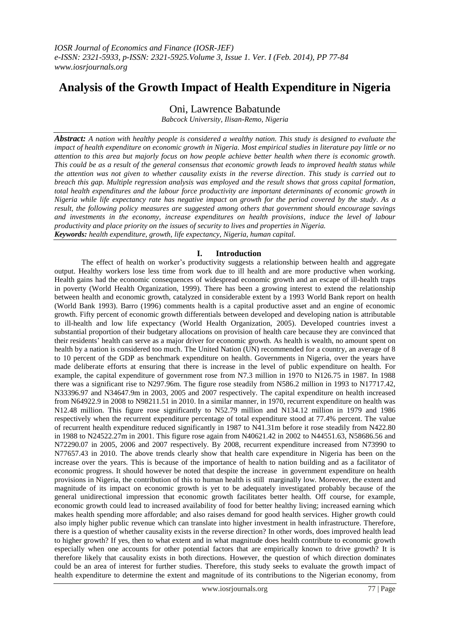# **Analysis of the Growth Impact of Health Expenditure in Nigeria**

Oni, Lawrence Babatunde

*Babcock University, Ilisan-Remo, Nigeria*

*Abstract: A nation with healthy people is considered a wealthy nation. This study is designed to evaluate the impact of health expenditure on economic growth in Nigeria. Most empirical studies in literature pay little or no attention to this area but majorly focus on how people achieve better health when there is economic growth. This could be as a result of the general consensus that economic growth leads to improved health status while the attention was not given to whether causality exists in the reverse direction. This study is carried out to breach this gap. Multiple regression analysis was employed and the result shows that gross capital formation, total health expenditures and the labour force productivity are important determinants of economic growth in Nigeria while life expectancy rate has negative impact on growth for the period covered by the study. As a result, the following policy measures are suggested among others that government should encourage savings and investments in the economy, increase expenditures on health provisions, induce the level of labour productivity and place priority on the issues of security to lives and properties in Nigeria. Keywords: health expenditure, growth, life expectancy, Nigeria, human capital.*

### **I. Introduction**

The effect of health on worker's productivity suggests a relationship between health and aggregate output. Healthy workers lose less time from work due to ill health and are more productive when working. Health gains had the economic consequences of widespread economic growth and an escape of ill-health traps in poverty (World Health Organization, 1999). There has been a growing interest to extend the relationship between health and economic growth, catalyzed in considerable extent by a 1993 World Bank report on health (World Bank 1993). Barro (1996) comments health is a capital productive asset and an engine of economic growth. Fifty percent of economic growth differentials between developed and developing nation is attributable to ill-health and low life expectancy (World Health Organization, 2005). Developed countries invest a substantial proportion of their budgetary allocations on provision of health care because they are convinced that their residents' health can serve as a major driver for economic growth. As health is wealth, no amount spent on health by a nation is considered too much. The United Nation (UN) recommended for a country, an average of 8 to 10 percent of the GDP as benchmark expenditure on health. Governments in Nigeria, over the years have made deliberate efforts at ensuring that there is increase in the level of public expenditure on health. For example, the capital expenditure of government rose from N7.3 million in 1970 to N126.75 in 1987. In 1988 there was a significant rise to N297.96m. The figure rose steadily from N586.2 million in 1993 to N17717.42, N33396.97 and N34647.9m in 2003, 2005 and 2007 respectively. The capital expenditure on health increased from N64922.9 in 2008 to N98211.51 in 2010. In a similar manner, in 1970, recurrent expenditure on health was N12.48 million. This figure rose significantly to N52.79 million and N134.12 million in 1979 and 1986 respectively when the recurrent expenditure percentage of total expenditure stood at 77.4% percent. The value of recurrent health expenditure reduced significantly in 1987 to N41.31m before it rose steadily from N422.80 in 1988 to N24522.27m in 2001. This figure rose again from N40621.42 in 2002 to N44551.63, N58686.56 and N72290.07 in 2005, 2006 and 2007 respectively. By 2008, recurrent expenditure increased from N73990 to N77657.43 in 2010. The above trends clearly show that health care expenditure in Nigeria has been on the increase over the years. This is because of the importance of health to nation building and as a facilitator of economic progress. It should however be noted that despite the increase in government expenditure on health provisions in Nigeria, the contribution of this to human health is still marginally low. Moreover, the extent and magnitude of its impact on economic growth is yet to be adequately investigated probably because of the general unidirectional impression that economic growth facilitates better health. Off course, for example, economic growth could lead to increased availability of food for better healthy living; increased earning which makes health spending more affordable; and also raises demand for good health services. Higher growth could also imply higher public revenue which can translate into higher investment in health infrastructure. Therefore, there is a question of whether causality exists in the reverse direction? In other words, does improved health lead to higher growth? If yes, then to what extent and in what magnitude does health contribute to economic growth especially when one accounts for other potential factors that are empirically known to drive growth? It is therefore likely that causality exists in both directions. However, the question of which direction dominates could be an area of interest for further studies. Therefore, this study seeks to evaluate the growth impact of health expenditure to determine the extent and magnitude of its contributions to the Nigerian economy, from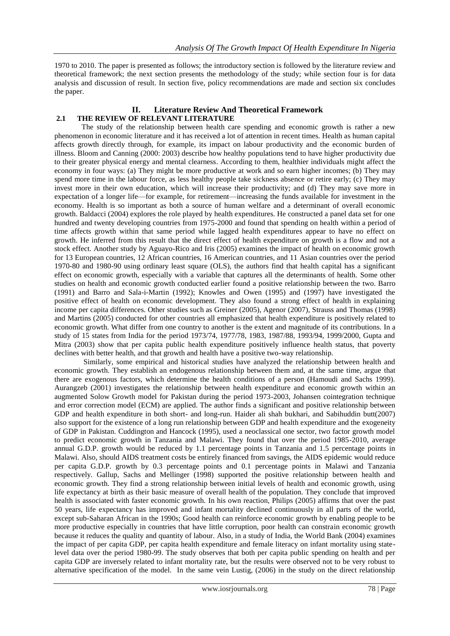1970 to 2010. The paper is presented as follows; the introductory section is followed by the literature review and theoretical framework; the next section presents the methodology of the study; while section four is for data analysis and discussion of result. In section five, policy recommendations are made and section six concludes the paper.

### **II. Literature Review And Theoretical Framework 2.1 THE REVIEW OF RELEVANT LITERATURE**

The study of the relationship between health care spending and economic growth is rather a new phenomenon in economic literature and it has received a lot of attention in recent times. Health as human capital affects growth directly through, for example, its impact on labour productivity and the economic burden of illness. Bloom and Canning (2000: 2003) describe how healthy populations tend to have higher productivity due to their greater physical energy and mental clearness. According to them, healthier individuals might affect the economy in four ways: (a) They might be more productive at work and so earn higher incomes; (b) They may spend more time in the labour force, as less healthy people take sickness absence or retire early; (c) They may invest more in their own education, which will increase their productivity; and (d) They may save more in expectation of a longer life—for example, for retirement—increasing the funds available for investment in the economy. Health is so important as both a source of human welfare and a determinant of overall economic growth. Baldacci (2004) explores the role played by health expenditures. He constructed a panel data set for one hundred and twenty developing countries from 1975-2000 and found that spending on health within a period of time affects growth within that same period while lagged health expenditures appear to have no effect on growth. He inferred from this result that the direct effect of health expenditure on growth is a flow and not a stock effect. Another study by Aguayo-Rico and Iris (2005) examines the impact of health on economic growth for 13 European countries, 12 African countries, 16 American countries, and 11 Asian countries over the period 1970-80 and 1980-90 using ordinary least square (OLS), the authors find that health capital has a significant effect on economic growth, especially with a variable that captures all the determinants of health. Some other studies on health and economic growth conducted earlier found a positive relationship between the two. Barro (1991) and Barro and Sala-i-Martin (1992); Knowles and Owen (1995) and (1997) have investigated the positive effect of health on economic development. They also found a strong effect of health in explaining income per capita differences. Other studies such as Greiner (2005), Agenor (2007), Strauss and Thomas (1998) and Martins (2005) conducted for other countries all emphasized that health expenditure is positively related to economic growth. What differ from one country to another is the extent and magnitude of its contributions. In a study of 15 states from India for the period 1973/74, 1977/78, 1983, 1987/88, 1993/94, 1999/2000, Gupta and Mitra (2003) show that per capita public health expenditure positively influence health status, that poverty declines with better health, and that growth and health have a positive two-way relationship.

Similarly, some empirical and historical studies have analyzed the relationship between health and economic growth. They establish an endogenous relationship between them and, at the same time, argue that there are exogenous factors, which determine the health conditions of a person (Hamoudi and Sachs 1999). Aurangzeb (2001) investigates the relationship between health expenditure and economic growth within an augmented Solow Growth model for Pakistan during the period 1973-2003, Johansen cointegration technique and error correction model (ECM) are applied. The author finds a significant and positive relationship between GDP and health expenditure in both short- and long-run. Haider ali shah bukhari, and Sabihuddin butt(2007) also support for the existence of a long run relationship between GDP and health expenditure and the exogeneity of GDP in Pakistan. Cuddington and Hancock (1995), used a neoclassical one sector, two factor growth model to predict economic growth in Tanzania and Malawi. They found that over the period 1985-2010, average annual G.D.P. growth would be reduced by 1.1 percentage points in Tanzania and 1.5 percentage points in Malawi. Also, should AIDS treatment costs be entirely financed from savings, the AIDS epidemic would reduce per capita G.D.P. growth by 0.3 percentage points and 0.1 percentage points in Malawi and Tanzania respectively. Gallup, Sachs and Mellinger (1998) supported the positive relationship between health and economic growth. They find a strong relationship between initial levels of health and economic growth, using life expectancy at birth as their basic measure of overall health of the population. They conclude that improved health is associated with faster economic growth. In his own reaction, Philips (2005) affirms that over the past 50 years, life expectancy has improved and infant mortality declined continuously in all parts of the world, except sub-Saharan African in the 1990s; Good health can reinforce economic growth by enabling people to be more productive especially in countries that have little corruption, poor health can constrain economic growth because it reduces the quality and quantity of labour. Also, in a study of India, the World Bank (2004) examines the impact of per capita GDP, per capita health expenditure and female literacy on infant mortality using statelevel data over the period 1980-99. The study observes that both per capita public spending on health and per capita GDP are inversely related to infant mortality rate, but the results were observed not to be very robust to alternative specification of the model. In the same vein Lustig, (2006) in the study on the direct relationship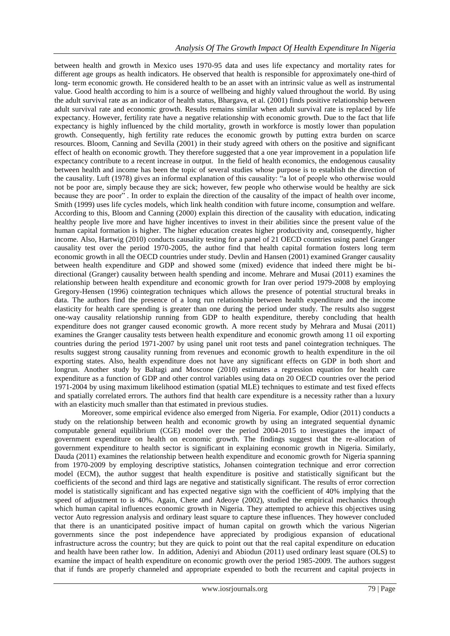between health and growth in Mexico uses 1970-95 data and uses life expectancy and mortality rates for different age groups as health indicators. He observed that health is responsible for approximately one-third of long- term economic growth. He considered health to be an asset with an intrinsic value as well as instrumental value. Good health according to him is a source of wellbeing and highly valued throughout the world. By using the adult survival rate as an indicator of health status, Bhargava, et al. (2001) finds positive relationship between adult survival rate and economic growth. Results remains similar when adult survival rate is replaced by life expectancy. However, fertility rate have a negative relationship with economic growth. Due to the fact that life expectancy is highly influenced by the child mortality, growth in workforce is mostly lower than population growth. Consequently, high fertility rate reduces the economic growth by putting extra burden on scarce resources. Bloom, Canning and Sevilla (2001) in their study agreed with others on the positive and significant effect of health on economic growth. They therefore suggested that a one year improvement in a population life expectancy contribute to a recent increase in output. In the field of health economics, the endogenous causality between health and income has been the topic of several studies whose purpose is to establish the direction of the causality. Luft (1978) gives an informal explanation of this causality: "a lot of people who otherwise would not be poor are, simply because they are sick; however, few people who otherwise would be healthy are sick because they are poor". In order to explain the direction of the causality of the impact of health over income, Smith (1999) uses life cycles models, which link health condition with future income, consumption and welfare. According to this, Bloom and Canning (2000) explain this direction of the causality with education, indicating healthy people live more and have higher incentives to invest in their abilities since the present value of the human capital formation is higher. The higher education creates higher productivity and, consequently, higher income. Also, Hartwig (2010) conducts causality testing for a panel of 21 OECD countries using panel Granger causality test over the period 1970-2005, the author find that health capital formation fosters long term economic growth in all the OECD countries under study. Devlin and Hansen (2001) examined Granger causality between health expenditure and GDP and showed some (mixed) evidence that indeed there might be bidirectional (Granger) causality between health spending and income. Mehrare and Musai (2011) examines the relationship between health expenditure and economic growth for Iran over period 1979-2008 by employing Gregory-Hensen (1996) cointegration techniques which allows the presence of potential structural breaks in data. The authors find the presence of a long run relationship between health expenditure and the income elasticity for health care spending is greater than one during the period under study. The results also suggest one-way causality relationship running from GDP to health expenditure, thereby concluding that health expenditure does not granger caused economic growth. A more recent study by Mehrara and Musai (2011) examines the Granger causality tests between health expenditure and economic growth among 11 oil exporting countries during the period 1971-2007 by using panel unit root tests and panel cointegration techniques. The results suggest strong causality running from revenues and economic growth to health expenditure in the oil exporting states. Also, health expenditure does not have any significant effects on GDP in both short and longrun. Another study by Baltagi and Moscone (2010) estimates a regression equation for health care expenditure as a function of GDP and other control variables using data on 20 OECD countries over the period 1971-2004 by using maximum likelihood estimation (spatial MLE) techniques to estimate and test fixed effects and spatially correlated errors. The authors find that health care expenditure is a necessity rather than a luxury with an elasticity much smaller than that estimated in previous studies.

Moreover, some empirical evidence also emerged from Nigeria. For example, Odior (2011) conducts a study on the relationship between health and economic growth by using an integrated sequential dynamic computable general equilibrium (CGE) model over the period 2004-2015 to investigates the impact of government expenditure on health on economic growth. The findings suggest that the re-allocation of government expenditure to health sector is significant in explaining economic growth in Nigeria. Similarly, Dauda (2011) examines the relationship between health expenditure and economic growth for Nigeria spanning from 1970-2009 by employing descriptive statistics, Johansen cointegration technique and error correction model (ECM), the author suggest that health expenditure is positive and statistically significant but the coefficients of the second and third lags are negative and statistically significant. The results of error correction model is statistically significant and has expected negative sign with the coefficient of 40% implying that the speed of adjustment to is 40%. Again, Chete and Adeoye (2002), studied the empirical mechanics through which human capital influences economic growth in Nigeria. They attempted to achieve this objectives using vector Auto regression analysis and ordinary least square to capture these influences. They however concluded that there is an unanticipated positive impact of human capital on growth which the various Nigerian governments since the post independence have appreciated by prodigious expansion of educational infrastructure across the country; but they are quick to point out that the real capital expenditure on education and health have been rather low. In addition, Adeniyi and Abiodun (2011) used ordinary least square (OLS) to examine the impact of health expenditure on economic growth over the period 1985-2009. The authors suggest that if funds are properly channeled and appropriate expended to both the recurrent and capital projects in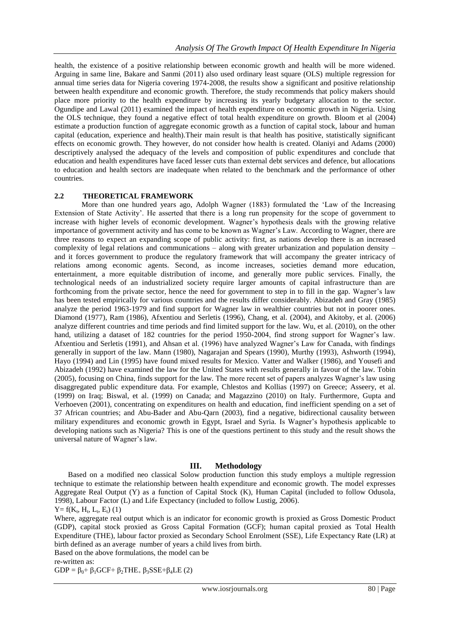health, the existence of a positive relationship between economic growth and health will be more widened. Arguing in same line, Bakare and Sanmi (2011) also used ordinary least square (OLS) multiple regression for annual time series data for Nigeria covering 1974-2008, the results show a significant and positive relationship between health expenditure and economic growth. Therefore, the study recommends that policy makers should place more priority to the health expenditure by increasing its yearly budgetary allocation to the sector. Ogundipe and Lawal (2011) examined the impact of health expenditure on economic growth in Nigeria. Using the OLS technique, they found a negative effect of total health expenditure on growth. Bloom et al (2004) estimate a production function of aggregate economic growth as a function of capital stock, labour and human capital (education, experience and health).Their main result is that health has positive, statistically significant effects on economic growth. They however, do not consider how health is created. Olaniyi and Adams (2000) descriptively analysed the adequacy of the levels and composition of public expenditures and conclude that education and health expenditures have faced lesser cuts than external debt services and defence, but allocations to education and health sectors are inadequate when related to the benchmark and the performance of other countries.

### **2.2 THEORETICAL FRAMEWORK**

More than one hundred years ago, Adolph Wagner (1883) formulated the 'Law of the Increasing Extension of State Activity'. He asserted that there is a long run propensity for the scope of government to increase with higher levels of economic development. Wagner's hypothesis deals with the growing relative importance of government activity and has come to be known as Wagner's Law. According to Wagner, there are three reasons to expect an expanding scope of public activity: first, as nations develop there is an increased complexity of legal relations and communications – along with greater urbanization and population density – and it forces government to produce the regulatory framework that will accompany the greater intricacy of relations among economic agents. Second, as income increases, societies demand more education, entertainment, a more equitable distribution of income, and generally more public services. Finally, the technological needs of an industrialized society require larger amounts of capital infrastructure than are forthcoming from the private sector, hence the need for government to step in to fill in the gap. Wagner's law has been tested empirically for various countries and the results differ considerably. Abizadeh and Gray (1985) analyze the period 1963-1979 and find support for Wagner law in wealthier countries but not in poorer ones. Diamond (1977), Ram (1986), Afxentiou and Serletis (1996), Chang, et al. (2004), and Akitoby, et al. (2006) analyze different countries and time periods and find limited support for the law. Wu, et al. (2010), on the other hand, utilizing a dataset of 182 countries for the period 1950-2004, find strong support for Wagner's law. Afxentiou and Serletis (1991), and Ahsan et al. (1996) have analyzed Wagner's Law for Canada, with findings generally in support of the law. Mann (1980), Nagarajan and Spears (1990), Murthy (1993), Ashworth (1994), Hayo (1994) and Lin (1995) have found mixed results for Mexico. Vatter and Walker (1986), and Yousefi and Abizadeh (1992) have examined the law for the United States with results generally in favour of the law. Tobin (2005), focusing on China, finds support for the law. The more recent set of papers analyzes Wagner's law using disaggregated public expenditure data. For example, Chlestos and Kollias (1997) on Greece; Asseery, et al. (1999) on Iraq; Biswal, et al. (1999) on Canada; and Magazzino (2010) on Italy. Furthermore, Gupta and Verhoeven (2001), concentrating on expenditures on health and education, find inefficient spending on a set of 37 African countries; and Abu-Bader and Abu-Qarn (2003), find a negative, bidirectional causality between military expenditures and economic growth in Egypt, Israel and Syria. Is Wagner's hypothesis applicable to developing nations such as Nigeria? This is one of the questions pertinent to this study and the result shows the universal nature of Wagner's law.

### **III. Methodology**

Based on a modified neo classical Solow production function this study employs a multiple regression technique to estimate the relationship between health expenditure and economic growth. The model expresses Aggregate Real Output (Y) as a function of Capital Stock (K), Human Capital (included to follow Odusola, 1998), Labour Factor (L) and Life Expectancy (included to follow Lustig, 2006).  $Y = f(K_t, H_t, L_t, E_t)$  (1)

Where, aggregate real output which is an indicator for economic growth is proxied as Gross Domestic Product (GDP), capital stock proxied as Gross Capital Formation (GCF); human capital proxied as Total Health Expenditure (THE), labour factor proxied as Secondary School Enrolment (SSE), Life Expectancy Rate (LR) at birth defined as an average number of years a child lives from birth.

Based on the above formulations, the model can be

re-written as:

 $GDP = \beta_0 + \beta_1 GCF + \beta_2 THE_+ \beta_3 SSE + \beta_4 LE (2)$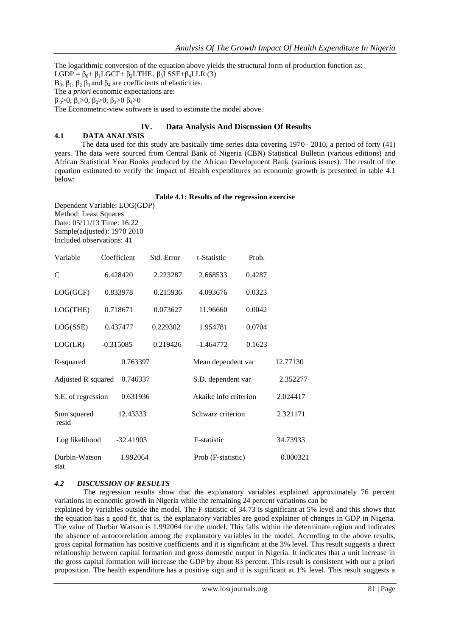The logarithmic conversion of the equation above yields the structural form of production function as: LGDP =  $\beta_0$ +  $\beta_1$ LGCF+  $\beta_2$ LTHE<sub>+</sub>  $\beta_3$ LSSE+ $\beta_4$ LLR (3) B<sub>0</sub>, β<sub>1</sub>, β<sub>2</sub> β<sub>3</sub> and β<sub>4</sub> are coefficients of elasticities. The a *priori* economic expectations are: β <sup>0</sup>>0, β1>0, β2>0, β3>0 β4>0 The Econometric-view software is used to estimate the model above.

### **IV. Data Analysis And Discussion Of Results**

## **4.1 DATA ANALYSIS**

The data used for this study are basically time series data covering 1970– 2010, a period of forty (41) years. The data were sourced from Central Bank of Nigeria (CBN) Statistical Bulletin (various editions) and African Statistical Year Books produced by the African Development Bank (various issues). The result of the equation estimated to verify the impact of Health expenditures on economic growth is presented in table 4.1 below:

### **Table 4.1: Results of the regression exercise**

Dependent Variable: LOG(GDP) Method: Least Squares Date: 05/11/13 Time: 16:22 Sample(adjusted): 1970 2010 Included observations: 41

| Variable                       | Coefficient | Std. Error | t-Statistic           | Prob.  |          |
|--------------------------------|-------------|------------|-----------------------|--------|----------|
| $\mathsf{C}$                   | 6.428420    | 2.223287   | 2.668533              | 0.4287 |          |
| LOG(GCF)                       | 0.833978    | 0.215936   | 4.093676              | 0.0323 |          |
| LOG(THE)                       | 0.718671    | 0.073627   | 11.96660              | 0.0042 |          |
| LOG(SSE)                       | 0.437477    | 0.229302   | 1.954781              | 0.0704 |          |
| LOG(LR)                        | $-0.315085$ | 0.219426   | $-1.464772$           | 0.1623 |          |
| R-squared                      | 0.763397    |            | Mean dependent var    |        | 12.77130 |
| Adjusted R squared<br>0.746337 |             |            | S.D. dependent var    |        | 2.352277 |
| 0.631936<br>S.E. of regression |             |            | Akaike info criterion |        | 2.024417 |
| Sum squared<br>resid           | 12.43333    |            | Schwarz criterion     |        | 2.321171 |
| Log likelihood                 | $-32.41903$ |            | F-statistic           |        | 34.73933 |
| Durbin-Watson<br>stat          | 1.992064    |            | Prob (F-statistic)    |        | 0.000321 |

### *4.2 DISCUSSION OF RESULTS*

The regression results show that the explanatory variables explained approximately 76 percent variations in economic growth in Nigeria while the remaining 24 percent variations can be explained by variables outside the model. The F statistic of 34.73 is significant at 5% level and this shows that the equation has a good fit, that is, the explanatory variables are good explainer of changes in GDP in Nigeria.

The value of Durbin Watson is 1.992064 for the model. This falls within the determinate region and indicates the absence of autocorrelation among the explanatory variables in the model. According to the above results, gross capital formation has positive coefficients and it is significant at the 3% level. This result suggests a direct relationship between capital formation and gross domestic output in Nigeria. It indicates that a unit increase in the gross capital formation will increase the GDP by about 83 percent. This result is consistent with our a priori proposition. The health expenditure has a positive sign and it is significant at 1% level. This result suggests a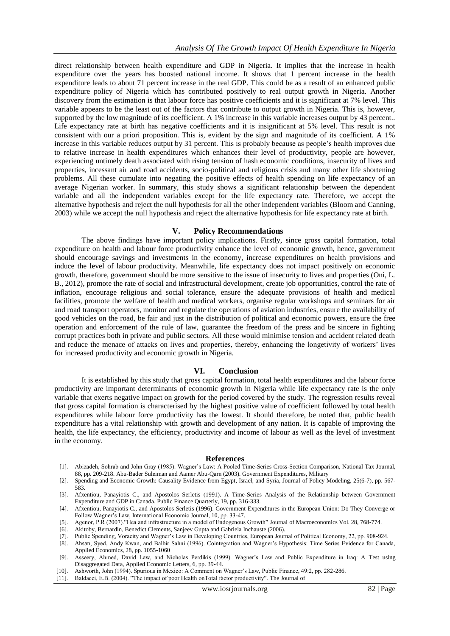direct relationship between health expenditure and GDP in Nigeria. It implies that the increase in health expenditure over the years has boosted national income. It shows that 1 percent increase in the health expenditure leads to about 71 percent increase in the real GDP. This could be as a result of an enhanced public expenditure policy of Nigeria which has contributed positively to real output growth in Nigeria. Another discovery from the estimation is that labour force has positive coefficients and it is significant at 7% level. This variable appears to be the least out of the factors that contribute to output growth in Nigeria. This is, however, supported by the low magnitude of its coefficient. A 1% increase in this variable increases output by 43 percent.. Life expectancy rate at birth has negative coefficients and it is insignificant at 5% level. This result is not consistent with our a priori proposition. This is, evident by the sign and magnitude of its coefficient. A 1% increase in this variable reduces output by 31 percent. This is probably because as people's health improves due to relative increase in health expenditures which enhances their level of productivity, people are however, experiencing untimely death associated with rising tension of hash economic conditions, insecurity of lives and properties, incessant air and road accidents, socio-political and religious crisis and many other life shortening problems. All these cumulate into negating the positive effects of health spending on life expectancy of an average Nigerian worker. In summary, this study shows a significant relationship between the dependent variable and all the independent variables except for the life expectancy rate. Therefore, we accept the alternative hypothesis and reject the null hypothesis for all the other independent variables (Bloom and Canning, 2003) while we accept the null hypothesis and reject the alternative hypothesis for life expectancy rate at birth.

### **V. Policy Recommendations**

The above findings have important policy implications. Firstly, since gross capital formation, total expenditure on health and labour force productivity enhance the level of economic growth, hence, government should encourage savings and investments in the economy, increase expenditures on health provisions and induce the level of labour productivity. Meanwhile, life expectancy does not impact positively on economic growth, therefore, government should be more sensitive to the issue of insecurity to lives and properties (Oni, L. B., 2012), promote the rate of social and infrastructural development, create job opportunities, control the rate of inflation, encourage religious and social tolerance, ensure the adequate provisions of health and medical facilities, promote the welfare of health and medical workers, organise regular workshops and seminars for air and road transport operators, monitor and regulate the operations of aviation industries, ensure the availability of good vehicles on the road, be fair and just in the distribution of political and economic powers, ensure the free operation and enforcement of the rule of law, guarantee the freedom of the press and be sincere in fighting corrupt practices both in private and public sectors. All these would minimise tension and accident related death and reduce the menace of attacks on lives and properties, thereby, enhancing the longetivity of workers' lives for increased productivity and economic growth in Nigeria.

#### **VI. Conclusion**

It is established by this study that gross capital formation, total health expenditures and the labour force productivity are important determinants of economic growth in Nigeria while life expectancy rate is the only variable that exerts negative impact on growth for the period covered by the study. The regression results reveal that gross capital formation is characterised by the highest positive value of coefficient followed by total health expenditures while labour force productivity has the lowest. It should therefore, be noted that, public health expenditure has a vital relationship with growth and development of any nation. It is capable of improving the health, the life expectancy, the efficiency, productivity and income of labour as well as the level of investment in the economy.

#### **References**

- [1]. Abizadeh, Sohrab and John Gray (1985). Wagner's Law: A Pooled Time-Series Cross-Section Comparison, National Tax Journal, 88, pp. 209-218. Abu-Bader Suleiman and Aamer Abu-Qarn (2003). Government Expenditures, Military
- [2]. Spending and Economic Growth: Causality Evidence from Egypt, Israel, and Syria, Journal of Policy Modeling, 25(6-7), pp. 567- 583.
- [3]. Afxentiou, Panayiotis C., and Apostolos Serletis (1991). A Time-Series Analysis of the Relationship between Government Expenditure and GDP in Canada, Public Finance Quarterly, 19, pp. 316-333.
- [4]. Afxentiou, Panayiotis C., and Apostolos Serletis (1996). Government Expenditures in the European Union: Do They Converge or Follow Wagner's Law, International Economic Journal, 10, pp. 33-47.
- [5]. Agenor, P.R (2007)."Hea and infrastructure in a model of Endogenous Growth" Journal of Macroeconomics Vol. 28, 768-774.
- [6]. Akitoby, Bernardin, Benedict Clements, Sanjeev Gupta and Gabriela Inchauste (2006).
- [7]. Public Spending, Voracity and Wagner's Law in Developing Countries, European Journal of Political Economy, 22, pp. 908-924.
- [8]. Ahsan, Syed, Andy Kwan, and Balbir Sahni (1996). Cointegration and Wagner's Hypothesis: Time Series Evidence for Canada, Applied Economics, 28, pp. 1055-1060
- [9]. Asseery, Ahmed, David Law, and Nicholas Perdikis (1999). Wagner's Law and Public Expenditure in Iraq: A Test using Disaggregated Data, Applied Economic Letters, 6, pp. 39-44.
- [10]. Ashworth, John (1994). Spurious in Mexico: A Comment on Wagner's Law, Public Finance, 49:2, pp. 282-286. [11]. Baldacci, E.B. (2004). "The impact of poor Health on Total factor productivity". The Journal of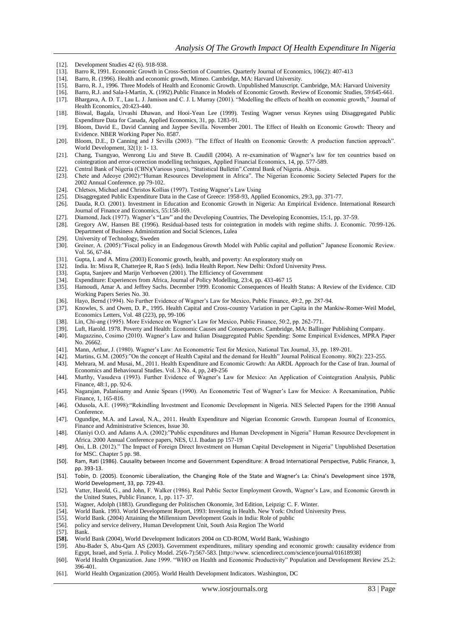- [12]. Development Studies 42 (6). 918-938.
- [13]. Barro R, 1991. Economic Growth in Cross-Section of Countries. Quarterly Journal of Economics, 106(2): 407-413
- [14]. Barro, R. (1996). Health and economic growth, Mimeo. Cambridge, MA: Harvard University.
- [15]. Barro, R. J., 1996. Three Models of Health and Economic Growth. Unpublished Manuscript. Cambridge, MA: Harvard University
- [16]. Barro, R.J. and Sala-I-Martin, X. (1992).Public Finance in Models of Economic Growth. Review of Economic Studies, 59:645-661.
- [17]. Bhargava, A. D. T., Lau L. J. Jamison and C. J. L Murray (2001). "Modelling the effects of health on economic growth," Journal of Health Economics, 20:423-440.
- [18]. Biswal, Bagala, Urvashi Dhawan, and Hooi-Yean Lee (1999). Testing Wagner versus Keynes using Disaggregated Public Expenditure Data for Canada, Applied Economics, 31, pp. 1283-91.
- [19]. Bloom, David E., David Canning and Jaypee Sevilla. November 2001. The Effect of Health on Economic Growth: Theory and Evidence. NBER Working Paper No. 8587.
- [20]. Bloom, D.E., D Canning and J Sevilla (2003). "The Effect of Health on Economic Growth: A production function approach". World Development, 32(1): 1- 13.
- [21]. Chang, Tsangyao, Wenrong Liu and Steve B. Caudill (2004). A re-examination of Wagner's law for ten countries based on cointegration and error-correction modelling techniques, Applied Financial Economics, 14, pp. 577-589.
- [22]. Central Bank of Nigeria (CBN)(Various years), "Statistical Bulletin".Central Bank of Nigeria. Abuja.
- [23]. Chete and Adeoye (2002): "Human Resources Development in Africa". The Nigerian Economic Society Selected Papers for the 2002 Annual Conference. pp 79-102.
- [24]. Chletsos, Michael and Christos Kollias (1997). Testing Wagner's Law Using
- [25]. Disaggregated Public Expenditure Data in the Case of Greece: 1958-93, Applied Economics, 29:3, pp. 371-77.
- [26]. Dauda, R.O. (2001). Investment in Education and Economic Growth in Nigeria: An Empirical Evidence. International Research Journal of Finance and Economics, 55:158-169.
- [27]. Diamond, Jack (1977). Wagner's "Law" and the Developing Countries, The Developing Economies, 15:1, pp. 37-59.
- [28]. Gregory AW, Hansen BE (1996). Residual-based tests for cointegration in models with regime shifts. J. Economic. 70:99-126. Department of Business Administration and Social Sciences, Lulea
- [29]. University of Technology, Sweden<br>[30]. Greiner, A. (2005): "Fiscal policy is
- Greiner, A. (2005):"Fiscal policy in an Endogenous Growth Model with Public capital and pollution" Japanese Economic Review. Vol. 56, 67-84.
- [31]. Gupta, I. and A. Mitra (2003) Economic growth, health, and poverty: An exploratory study on
- [32]. India. In: Misra R, Chatterjee R, Rao S (eds). India Health Report. New Delhi: Oxford University Press.
- [33]. Gupta, Sanjeev and Marijn Verhoeven (2001). The Efficiency of Government
- [34]. Expenditure: Experiences from Africa, Journal of Policy Modelling, 23:4, pp. 433-467 15
- [35]. Hamoudi, Amar A. and Jeffrey Sachs. December 1999. Economic Consequences of Health Status: A Review of the Evidence. CID Working Papers Series No. 30.
- [36]. Hayo, Bernd (1994). No Further Evidence of Wagner's Law for Mexico, Public Finance, 49:2, pp. 287-94.
- [37]. Knowles, S. and Owen, D. P., 1995. Health Capital and Cross-country Variation in per Capita in the Mankiw-Romer-Weil Model, Economics Letters, Vol. 48 (223), pp, 99-106
- [38]. Lin, Chi-ang (1995). More Evidence on Wagner's Law for Mexico, Public Finance, 50:2, pp. 262-771.
- [39]. Luft, Harold. 1978. Poverty and Health: Economic Causes and Consequences. Cambridge, MA: Ballinger Publishing Company. [40]. Magazzino, Cosimo (2010). Wagner's Law and Italian Disaggregated Public Spending: Some Empi [40]. Magazzino, Cosimo (2010). Wagner's Law and Italian Disaggregated Public Spending: Some Empirical Evidences, MPRA Paper
- No. 26662.
- [41]. Mann, Arthur, J. (1980). Wagner's Law: An Econometric Test for Mexico, National Tax Journal, 33, pp. 189-201.
- [42]. Martins, G.M. (2005):"On the concept of Health Capital and the demand for Health" Journal Political Economy. 80(2): 223-255.
- [43]. Mehrara, M. and Musai, M., 2011. Health Expenditure and Economic Growth: An ARDL Approach for the Case of Iran. Journal of Economics and Behavioural Studies. Vol. 3 No. 4, pp, 249-256
- [44]. Murthy, Vasudeva (1993). Further Evidence of Wagner's Law for Mexico: An Application of Cointegration Analysis, Public Finance, 48:1, pp. 92-6.
- [45]. Nagarajan, Palanisamy and Annie Spears (1990). An Econometric Test of Wagner's Law for Mexico: A Reexamination, Public Finance, 1, 165-816.
- [46]. Odusola, A.E. (1998): "Rekindling Investment and Economic Development in Nigeria. NES Selected Papers for the 1998 Annual Conference.
- [47]. Ogundipe, M.A. and Lawal, N.A., 2011. Health Expenditure and Nigerian Economic Growth. European Journal of Economics, Finance and Administrative Sciences, Issue 30.
- [48]. Olaniyi O.O. and Adams A.A. (2002):"Public expenditures and Human Development in Nigeria" Human Resource Development in Africa. 2000 Annual Conference papers, NES, U.I. Ibadan pp 157-19
- [49]. Oni, L.B. (2012)." The Impact of Foreign Direct Investment on Human Capital Development in Nigeria" Unpublished Desertation for MSC. Chapter 5 pp. 98.
- [50]. Ram, Rati (1986). Causality between Income and Government Expenditure: A Broad International Perspective, Public Finance, 3, pp. 393-13.
- [51]. Tobin, D. (2005). Economic Liberalization, the Changing Role of the State and Wagner's La: China's Development since 1978, World Development, 33, pp. 729-43.
- [52]. Vatter, Harold, G., and John, F. Walker (1986). Real Public Sector Employment Growth, Wagner's Law, and Economic Growth in the United States, Public Finance, 1, pp. 117- 37.
- [53]. Wagner, Adolph (1883). Grundlegung der Politischen Okonomie, 3rd Edition, Leipzig: C. F. Winter.
- [54]. World Bank. 1993. World Development Report, 1993: Investing in Health. New York: Oxford University Press.
- [55]. World Bank. (2004) Attaining the Millennium Development Goals in India: Role of public
- [56]. policy and service delivery, Human Development Unit, South Asia Region The World
- [57]. Bank.
- **[58].** World Bank (2004), World Development Indicators 2004 on CD-ROM, World Bank, Washingto
- [59]. Abu-Bader S, Abu-Qarn AS (2003). Government expenditures, military spending and economic growth: causality evidence from Egypt, Israel, and Syria. J. Policy Model. 25(6-7):567-583. [http://www. sciencedirect.com/science/journal/01618938]
- [60]. World Health Organization. June 1999. "WHO on Health and Economic Productivity" Population and Development Review 25.2: 396-401.
- [61]. World Health Organization (2005). World Health Development Indicators. Washington, DC